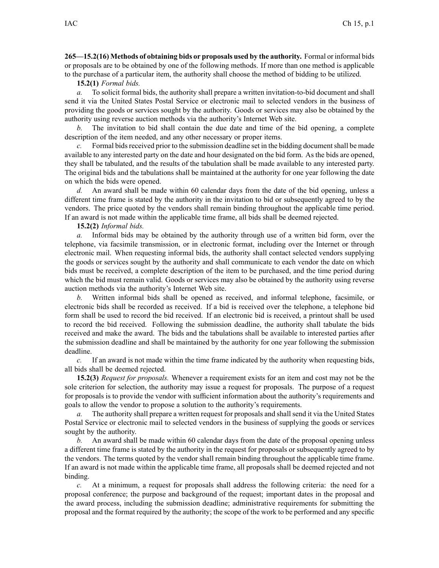**265—15.2(16) Methods of obtaining bids or proposals used by the authority.** Formal or informal bids or proposals are to be obtained by one of the following methods. If more than one method is applicable to the purchase of <sup>a</sup> particular item, the authority shall choose the method of bidding to be utilized.

**15.2(1)** *Formal bids.*

*a.* To solicit formal bids, the authority shall prepare <sup>a</sup> written invitation-to-bid document and shall send it via the United States Postal Service or electronic mail to selected vendors in the business of providing the goods or services sought by the authority. Goods or services may also be obtained by the authority using reverse auction methods via the authority's Internet Web site.

*b.* The invitation to bid shall contain the due date and time of the bid opening, <sup>a</sup> complete description of the item needed, and any other necessary or proper items.

*c.* Formal bids received prior to the submission deadline set in the bidding document shall be made available to any interested party on the date and hour designated on the bid form. As the bids are opened, they shall be tabulated, and the results of the tabulation shall be made available to any interested party. The original bids and the tabulations shall be maintained at the authority for one year following the date on which the bids were opened.

*d.* An award shall be made within 60 calendar days from the date of the bid opening, unless <sup>a</sup> different time frame is stated by the authority in the invitation to bid or subsequently agreed to by the vendors. The price quoted by the vendors shall remain binding throughout the applicable time period. If an award is not made within the applicable time frame, all bids shall be deemed rejected.

**15.2(2)** *Informal bids.*

*a.* Informal bids may be obtained by the authority through use of <sup>a</sup> written bid form, over the telephone, via facsimile transmission, or in electronic format, including over the Internet or through electronic mail. When requesting informal bids, the authority shall contact selected vendors supplying the goods or services sought by the authority and shall communicate to each vendor the date on which bids must be received, <sup>a</sup> complete description of the item to be purchased, and the time period during which the bid must remain valid. Goods or services may also be obtained by the authority using reverse auction methods via the authority's Internet Web site.

*b.* Written informal bids shall be opened as received, and informal telephone, facsimile, or electronic bids shall be recorded as received. If <sup>a</sup> bid is received over the telephone, <sup>a</sup> telephone bid form shall be used to record the bid received. If an electronic bid is received, <sup>a</sup> printout shall be used to record the bid received. Following the submission deadline, the authority shall tabulate the bids received and make the award. The bids and the tabulations shall be available to interested parties after the submission deadline and shall be maintained by the authority for one year following the submission deadline.

*c.* If an award is not made within the time frame indicated by the authority when requesting bids, all bids shall be deemed rejected.

**15.2(3)** *Request for proposals.* Whenever <sup>a</sup> requirement exists for an item and cost may not be the sole criterion for selection, the authority may issue <sup>a</sup> reques<sup>t</sup> for proposals. The purpose of <sup>a</sup> reques<sup>t</sup> for proposals is to provide the vendor with sufficient information about the authority's requirements and goals to allow the vendor to propose <sup>a</sup> solution to the authority's requirements.

*a.* The authority shall prepare <sup>a</sup> written reques<sup>t</sup> for proposals and shall send it via the United States Postal Service or electronic mail to selected vendors in the business of supplying the goods or services sought by the authority.

*b.* An award shall be made within 60 calendar days from the date of the proposal opening unless <sup>a</sup> different time frame is stated by the authority in the reques<sup>t</sup> for proposals or subsequently agreed to by the vendors. The terms quoted by the vendor shall remain binding throughout the applicable time frame. If an award is not made within the applicable time frame, all proposals shall be deemed rejected and not binding.

*c.* At <sup>a</sup> minimum, <sup>a</sup> reques<sup>t</sup> for proposals shall address the following criteria: the need for <sup>a</sup> proposal conference; the purpose and background of the request; important dates in the proposal and the award process, including the submission deadline; administrative requirements for submitting the proposal and the format required by the authority; the scope of the work to be performed and any specific